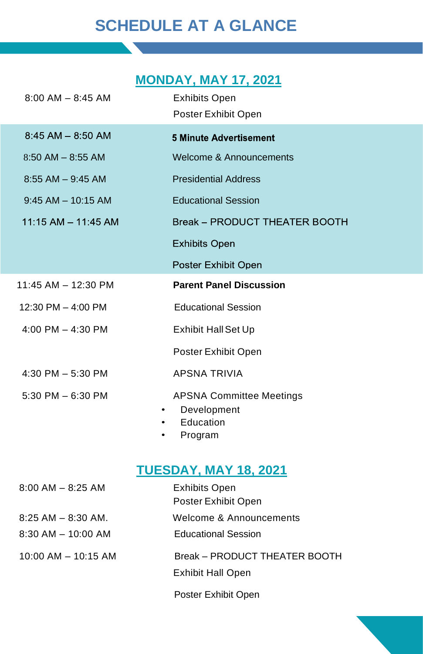# **SCHEDULE AT A GLANCE**

# **MONDAY, MAY 17, 2021**

| $8:00$ AM $-$ 8:45 AM                     | <b>Exhibits Open</b><br>Poster Exhibit Open                            |
|-------------------------------------------|------------------------------------------------------------------------|
| $8:45$ AM $- 8:50$ AM                     | <b>5 Minute Advertisement</b>                                          |
| $8:50$ AM $-$ 8:55 AM                     | Welcome & Announcements                                                |
| $8:55$ AM $-9:45$ AM                      | <b>Presidential Address</b>                                            |
| $9:45$ AM $-$ 10:15 AM                    | <b>Educational Session</b>                                             |
| $11:15$ AM $- 11:45$ AM                   | Break - PRODUCT THEATER BOOTH                                          |
|                                           | <b>Exhibits Open</b>                                                   |
|                                           | Poster Exhibit Open                                                    |
| 11:45 AM - 12:30 PM                       | <b>Parent Panel Discussion</b>                                         |
| 12:30 PM $-$ 4:00 PM                      | <b>Educational Session</b>                                             |
| 4:00 PM $-$ 4:30 PM                       | <b>Exhibit Hall Set Up</b>                                             |
|                                           | Poster Exhibit Open                                                    |
| 4:30 PM $-$ 5:30 PM                       | <b>APSNA TRIVIA</b>                                                    |
| 5:30 PM $-6:30$ PM<br>$\bullet$<br>٠<br>٠ | <b>APSNA Committee Meetings</b><br>Development<br>Education<br>Program |

## **TUESDAY, MAY 18, 2021**

| $8:00$ AM $-$ 8:25 AM                            | <b>Exhibits Open</b><br>Poster Exhibit Open           |
|--------------------------------------------------|-------------------------------------------------------|
| $8:25$ AM $-$ 8:30 AM.<br>$8:30$ AM $-$ 10:00 AM | Welcome & Announcements<br><b>Educational Session</b> |
| $10:00$ AM $-$ 10:15 AM                          | Break - PRODUCT THEATER BOOTH                         |
|                                                  | <b>Exhibit Hall Open</b>                              |
|                                                  | Poster Exhibit Open                                   |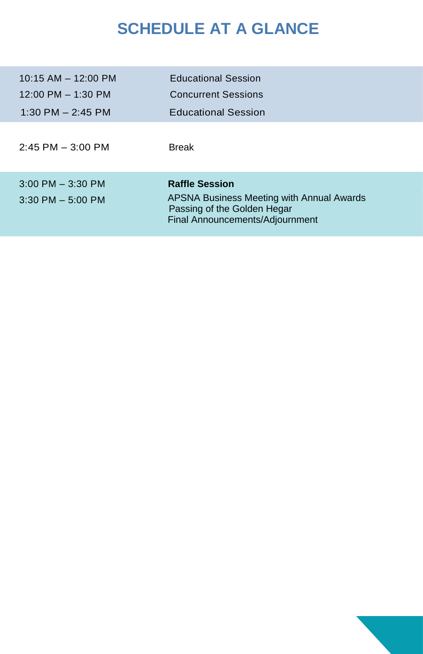# **SCHEDULE AT A GLANCE**

| $10:15$ AM $-$ 12:00 PM<br>$12:00 \text{ PM} - 1:30 \text{ PM}$<br>1:30 PM $-$ 2:45 PM | <b>Educational Session</b><br><b>Concurrent Sessions</b><br><b>Educational Session</b>                                               |
|----------------------------------------------------------------------------------------|--------------------------------------------------------------------------------------------------------------------------------------|
| $2:45$ PM $-3:00$ PM                                                                   | <b>Break</b>                                                                                                                         |
| $3:00$ PM $-3:30$ PM<br>$3:30$ PM $-5:00$ PM                                           | <b>Raffle Session</b><br>APSNA Business Meeting with Annual Awards<br>Passing of the Golden Hegar<br>Final Announcements/Adjournment |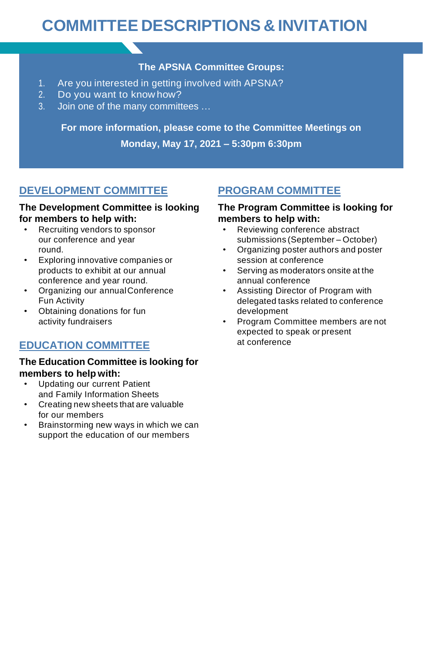# **COMMITTEE DESCRIPTIONS & INVITATION**

### **The APSNA Committee Groups:**

- 1. Are you interested in getting involved with APSNA?
- 2. Do you want to know how?
- 3. Join one of the many committees …

**For more information, please come to the Committee Meetings on Monday, May 17, 2021 – 5:30pm 6:30pm**

### **DEVELOPMENT COMMITTEE**

#### **The Development Committee is looking for members to help with:**

- Recruiting vendors to sponsor our conference and year round.
- Exploring innovative companies or products to exhibit at our annual conference and year round.
- Organizing our annualConference Fun Activity
- Obtaining donations for fun activity fundraisers

### **EDUCATION COMMITTEE**

#### **The Education Committee is looking for members to help with:**

- Updating our current Patient and Family Information Sheets
- Creating new sheets that are valuable for our members
- Brainstorming new ways in which we can support the education of our members

## **PROGRAM COMMITTEE**

#### **The Program Committee is looking for members to help with:**

- Reviewing conference abstract submissions (September – October)
- Organizing poster authors and poster session at conference
- Serving as moderators onsite at the annual conference
- Assisting Director of Program with delegated tasks related to conference development
- Program Committee members are not expected to speak or present at conference